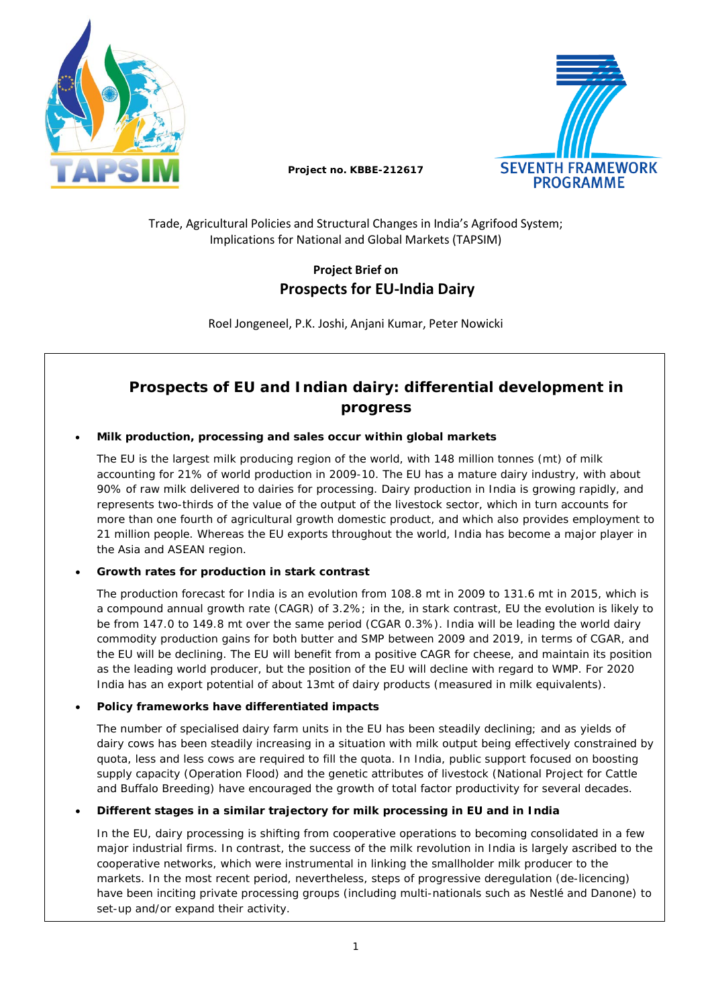



**Project no. KBBE-212617**

## Trade, Agricultural Policies and Structural Changes in India's Agrifood System; Implications for National and Global Markets (TAPSIM)

# **Project Brief on Prospects for EU-India Dairy**

Roel Jongeneel, P.K. Joshi, Anjani Kumar, Peter Nowicki

# **Prospects of EU and Indian dairy: differential development in progress**

## • **Milk production, processing and sales occur within global markets**

The EU is the largest milk producing region of the world, with 148 million tonnes (mt) of milk accounting for 21% of world production in 2009-10. The EU has a mature dairy industry, with about 90% of raw milk delivered to dairies for processing. Dairy production in India is growing rapidly, and represents two-thirds of the value of the output of the livestock sector, which in turn accounts for more than one fourth of agricultural growth domestic product, and which also provides employment to 21 million people. Whereas the EU exports throughout the world, India has become a major player in the Asia and ASEAN region.

## • **Growth rates for production in stark contrast**

The production forecast for India is an evolution from 108.8 mt in 2009 to 131.6 mt in 2015, which is a compound annual growth rate (CAGR) of 3.2%; in the, in stark contrast, EU the evolution is likely to be from 147.0 to 149.8 mt over the same period (CGAR 0.3%). India will be leading the world dairy commodity production gains for both butter and SMP between 2009 and 2019, in terms of CGAR, and the EU will be declining. The EU will benefit from a positive CAGR for cheese, and maintain its position as the leading world producer, but the position of the EU will decline with regard to WMP. For 2020 India has an export potential of about 13mt of dairy products (measured in milk equivalents).

## • **Policy frameworks have differentiated impacts**

The number of specialised dairy farm units in the EU has been steadily declining; and as yields of dairy cows has been steadily increasing in a situation with milk output being effectively constrained by quota, less and less cows are required to fill the quota. In India, public support focused on boosting supply capacity (Operation Flood) and the genetic attributes of livestock (National Project for Cattle and Buffalo Breeding) have encouraged the growth of total factor productivity for several decades.

## • **Different stages in a similar trajectory for milk processing in EU and in India**

In the EU, dairy processing is shifting from cooperative operations to becoming consolidated in a few major industrial firms. In contrast, the success of the milk revolution in India is largely ascribed to the cooperative networks, which were instrumental in linking the smallholder milk producer to the markets. In the most recent period, nevertheless, steps of progressive deregulation (de-licencing) have been inciting private processing groups (including multi-nationals such as Nestlé and Danone) to set-up and/or expand their activity.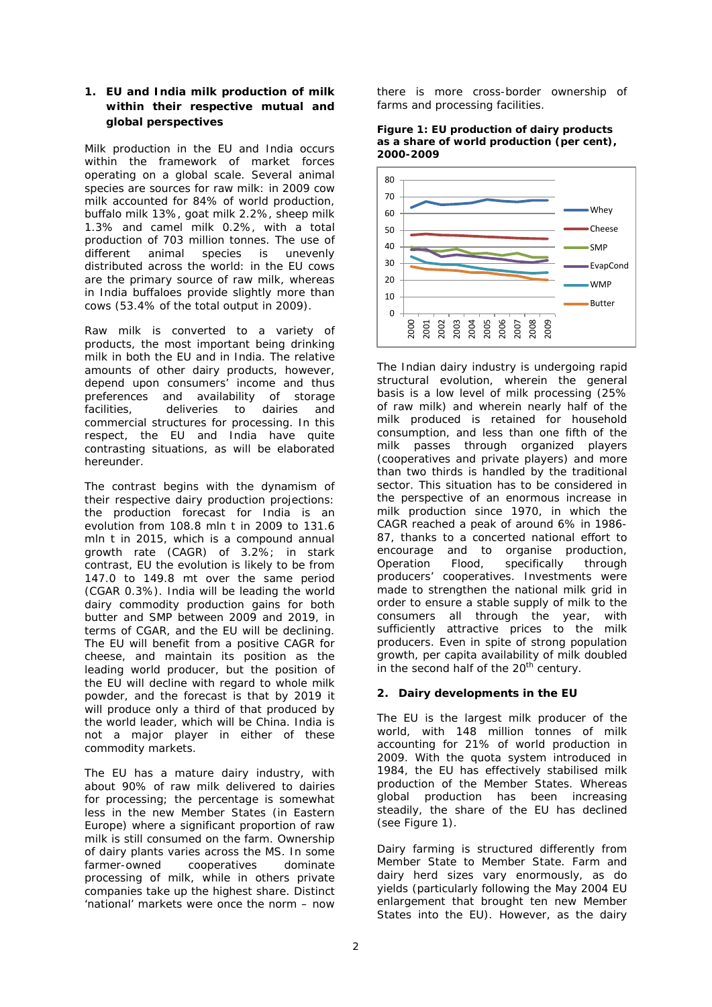### **1. EU and India milk production of milk within their respective mutual and global perspectives**

Milk production in the EU and India occurs within the framework of market forces operating on a global scale. Several animal species are sources for raw milk: in 2009 cow milk accounted for 84% of world production, buffalo milk 13%, goat milk 2.2%, sheep milk 1.3% and camel milk 0.2%, with a total production of 703 million tonnes. The use of different animal species is unevenly different animal species is distributed across the world: in the EU cows are the primary source of raw milk, whereas in India buffaloes provide slightly more than cows (53.4% of the total output in 2009).

Raw milk is converted to a variety of products, the most important being drinking milk in both the EU and in India. The relative amounts of other dairy products, however, depend upon consumers' income and thus preferences and availability of storage facilities, deliveries to dairies and commercial structures for processing. In this respect, the EU and India have quite contrasting situations, as will be elaborated hereunder.

The contrast begins with the dynamism of their respective dairy production projections: the production forecast for India is an evolution from 108.8 mln t in 2009 to 131.6 mln t in 2015, which is a compound annual growth rate (CAGR) of 3.2%; in stark contrast, EU the evolution is likely to be from 147.0 to 149.8 mt over the same period (CGAR 0.3%). India will be leading the world dairy commodity production gains for both butter and SMP between 2009 and 2019, in terms of CGAR, and the EU will be declining. The EU will benefit from a positive CAGR for cheese, and maintain its position as the leading world producer, but the position of the EU will decline with regard to whole milk powder, and the forecast is that by 2019 it will produce only a third of that produced by the world leader, which will be China. India is not a major player in either of these commodity markets.

The EU has a mature dairy industry, with about 90% of raw milk delivered to dairies for processing; the percentage is somewhat less in the new Member States (in Eastern Europe) where a significant proportion of raw milk is still consumed on the farm. Ownership of dairy plants varies across the MS. In some farmer-owned cooperatives dominate processing of milk, while in others private companies take up the highest share. Distinct 'national' markets were once the norm – now

there is more cross-border ownership of farms and processing facilities.





The Indian dairy industry is undergoing rapid structural evolution, wherein the general basis is a low level of milk processing (25% of raw milk) and wherein nearly half of the milk produced is retained for household consumption, and less than one fifth of the milk passes through organized players (cooperatives and private players) and more than two thirds is handled by the traditional sector. This situation has to be considered in the perspective of an enormous increase in milk production since 1970, in which the CAGR reached a peak of around 6% in 1986- 87, thanks to a concerted national effort to encourage and to organise production, Operation Flood, specifically through producers' cooperatives. Investments were made to strengthen the national milk grid in order to ensure a stable supply of milk to the consumers all through the year, with sufficiently attractive prices to the milk producers. Even in spite of strong population growth, per capita availability of milk doubled in the second half of the  $20<sup>th</sup>$  century.

## **2. Dairy developments in the EU**

The EU is the largest milk producer of the world, with 148 million tonnes of milk accounting for 21% of world production in 2009. With the quota system introduced in 1984, the EU has effectively stabilised milk production of the Member States. Whereas global production has been increasing steadily, the share of the EU has declined (see Figure 1).

Dairy farming is structured differently from Member State to Member State. Farm and dairy herd sizes vary enormously, as do yields (particularly following the May 2004 EU enlargement that brought ten new Member States into the EU). However, as the dairy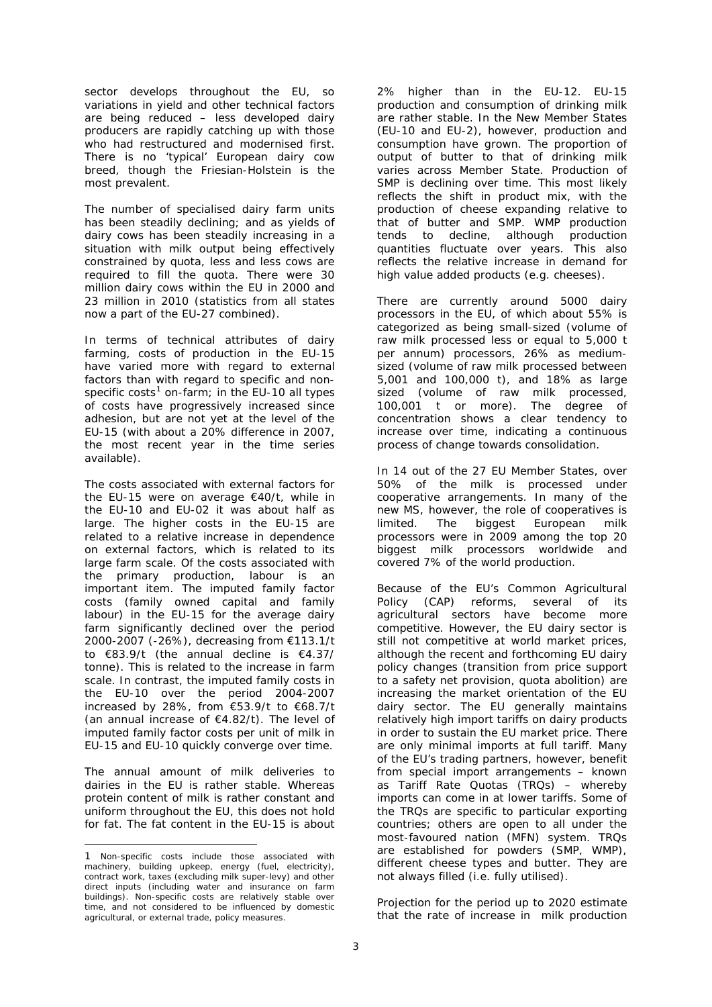sector develops throughout the EU, so variations in yield and other technical factors are being reduced – less developed dairy producers are rapidly catching up with those who had restructured and modernised first. There is no 'typical' European dairy cow breed, though the Friesian-Holstein is the most prevalent.

The number of specialised dairy farm units has been steadily declining; and as yields of dairy cows has been steadily increasing in a situation with milk output being effectively constrained by quota, less and less cows are required to fill the quota. There were 30 million dairy cows within the EU in 2000 and 23 million in 2010 (statistics from all states now a part of the EU-27 combined).

In terms of technical attributes of dairy farming, costs of production in the EU-15 have varied more with regard to external factors than with regard to specific and non-specific costs<sup>[1](#page-2-0)</sup> on-farm; in the EU-10 all types of costs have progressively increased since adhesion, but are not yet at the level of the EU-15 (with about a 20% difference in 2007, the most recent year in the time series available).

The costs associated with external factors for the EU-15 were on average €40/t, while in the EU-10 and EU-02 it was about half as large. The higher costs in the EU-15 are related to a relative increase in dependence on external factors, which is related to its large farm scale. Of the costs associated with the primary production, labour is an important item. The imputed family factor costs (family owned capital and family labour) in the EU-15 for the average dairy farm significantly declined over the period 2000-2007 (-26%), decreasing from €113.1/t to €83.9/t (the annual decline is €4.37/ tonne). This is related to the increase in farm scale. In contrast, the imputed family costs in the EU-10 over the period 2004-2007 increased by 28%, from €53.9/t to €68.7/t (an annual increase of  $€4.82/t$ ). The level of imputed family factor costs per unit of milk in EU-15 and EU-10 quickly converge over time.

The annual amount of milk deliveries to dairies in the EU is rather stable. Whereas protein content of milk is rather constant and uniform throughout the EU, this does not hold for fat. The fat content in the EU-15 is about

j

2% higher than in the EU-12. EU-15 production and consumption of drinking milk are rather stable. In the New Member States (EU-10 and EU-2), however, production and consumption have grown. The proportion of output of butter to that of drinking milk varies across Member State. Production of SMP is declining over time. This most likely reflects the shift in product mix, with the production of cheese expanding relative to that of butter and SMP. WMP production tends to decline, although production quantities fluctuate over years. This also reflects the relative increase in demand for high value added products (e.g. cheeses).

There are currently around 5000 dairy processors in the EU, of which about 55% is categorized as being small-sized (volume of raw milk processed less or equal to 5,000 t per annum) processors, 26% as mediumsized (volume of raw milk processed between 5,001 and 100,000 t), and 18% as large sized (volume of raw milk processed, 100,001 t or more). The degree of concentration shows a clear tendency to increase over time, indicating a continuous process of change towards consolidation.

In 14 out of the 27 EU Member States, over 50% of the milk is processed under cooperative arrangements. In many of the new MS, however, the role of cooperatives is limited. The biggest European milk processors were in 2009 among the top 20 biggest milk processors worldwide and covered 7% of the world production.

Because of the EU's Common Agricultural Policy (CAP) reforms, several of its agricultural sectors have become more competitive. However, the EU dairy sector is still not competitive at world market prices, although the recent and forthcoming EU dairy policy changes (transition from price support to a safety net provision, quota abolition) are increasing the market orientation of the EU dairy sector. The EU generally maintains relatively high import tariffs on dairy products in order to sustain the EU market price. There are only minimal imports at full tariff. Many of the EU's trading partners, however, benefit from special import arrangements – known as Tariff Rate Quotas (TRQs) – whereby imports can come in at lower tariffs. Some of the TRQs are specific to particular exporting countries; others are open to all under the most-favoured nation (MFN) system. TRQs are established for powders (SMP, WMP), different cheese types and butter. They are not always filled (i.e. fully utilised).

Projection for the period up to 2020 estimate that the rate of increase in milk production

<span id="page-2-0"></span><sup>1</sup> Non-specific costs include those associated with machinery, building upkeep, energy (fuel, electricity), contract work, taxes (excluding milk super-levy) and other direct inputs (including water and insurance on farm buildings). Non-specific costs are relatively stable over time, and not considered to be influenced by domestic agricultural, or external trade, policy measures.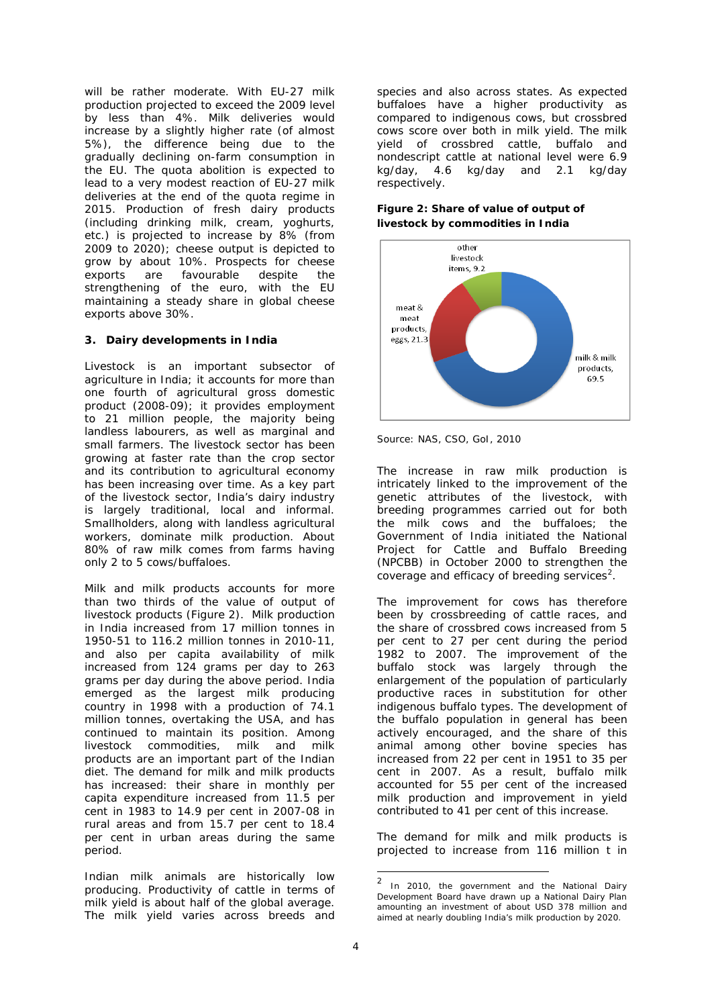will be rather moderate. With EU-27 milk production projected to exceed the 2009 level by less than 4%. Milk deliveries would increase by a slightly higher rate (of almost 5%), the difference being due to the gradually declining on-farm consumption in the EU. The quota abolition is expected to lead to a very modest reaction of EU-27 milk deliveries at the end of the quota regime in 2015. Production of fresh dairy products (including drinking milk, cream, yoghurts, etc.) is projected to increase by 8% (from 2009 to 2020); cheese output is depicted to grow by about 10%. Prospects for cheese exports are favourable despite the strengthening of the euro, with the EU maintaining a steady share in global cheese exports above 30%.

### **3. Dairy developments in India**

Livestock is an important subsector of agriculture in India; it accounts for more than one fourth of agricultural gross domestic product (2008-09); it provides employment to 21 million people, the majority being landless labourers, as well as marginal and small farmers. The livestock sector has been growing at faster rate than the crop sector and its contribution to agricultural economy has been increasing over time. As a key part of the livestock sector, India's dairy industry is largely traditional, local and informal. Smallholders, along with landless agricultural workers, dominate milk production. About 80% of raw milk comes from farms having only 2 to 5 cows/buffaloes.

Milk and milk products accounts for more than two thirds of the value of output of livestock products (Figure 2). Milk production in India increased from 17 million tonnes in 1950-51 to 116.2 million tonnes in 2010-11, and also per capita availability of milk increased from 124 grams per day to 263 grams per day during the above period. India emerged as the largest milk producing country in 1998 with a production of 74.1 million tonnes, overtaking the USA, and has continued to maintain its position. Among<br>livestock commodities, milk and milk livestock commodities, milk and milk products are an important part of the Indian diet. The demand for milk and milk products has increased: their share in monthly per capita expenditure increased from 11.5 per cent in 1983 to 14.9 per cent in 2007-08 in rural areas and from 15.7 per cent to 18.4 per cent in urban areas during the same period.

<span id="page-3-0"></span>Indian milk animals are historically low producing. Productivity of cattle in terms of milk yield is about half of the global average. The milk yield varies across breeds and

species and also across states. As expected buffaloes have a higher productivity as compared to indigenous cows, but crossbred cows score over both in milk yield. The milk yield of crossbred cattle, buffalo and nondescript cattle at national level were 6.9 kg/day, 4.6 kg/day and 2.1 kg/day respectively.

#### **Figure 2: Share of value of output of livestock by commodities in India**



*Source:* NAS, CSO, GoI, 2010

The increase in raw milk production is intricately linked to the improvement of the genetic attributes of the livestock, with breeding programmes carried out for both the milk cows and the buffaloes; the Government of India initiated the National Project for Cattle and Buffalo Breeding (NPCBB) in October 2000 to strengthen the coverage and efficacy of breeding services<sup>[2](#page-3-0)</sup>.

The improvement for cows has therefore been by crossbreeding of cattle races, and the share of crossbred cows increased from 5 per cent to 27 per cent during the period 1982 to 2007. The improvement of the buffalo stock was largely through the enlargement of the population of particularly productive races in substitution for other indigenous buffalo types. The development of the buffalo population in general has been actively encouraged, and the share of this animal among other bovine species has increased from 22 per cent in 1951 to 35 per cent in 2007. As a result, buffalo milk accounted for 55 per cent of the increased milk production and improvement in yield contributed to 41 per cent of this increase.

The demand for milk and milk products is projected to increase from 116 million t in

 <sup>2</sup> In 2010, the government and the National Dairy Development Board have drawn up a National Dairy Plan amounting an investment of about USD 378 million and aimed at nearly doubling India's milk production by 2020.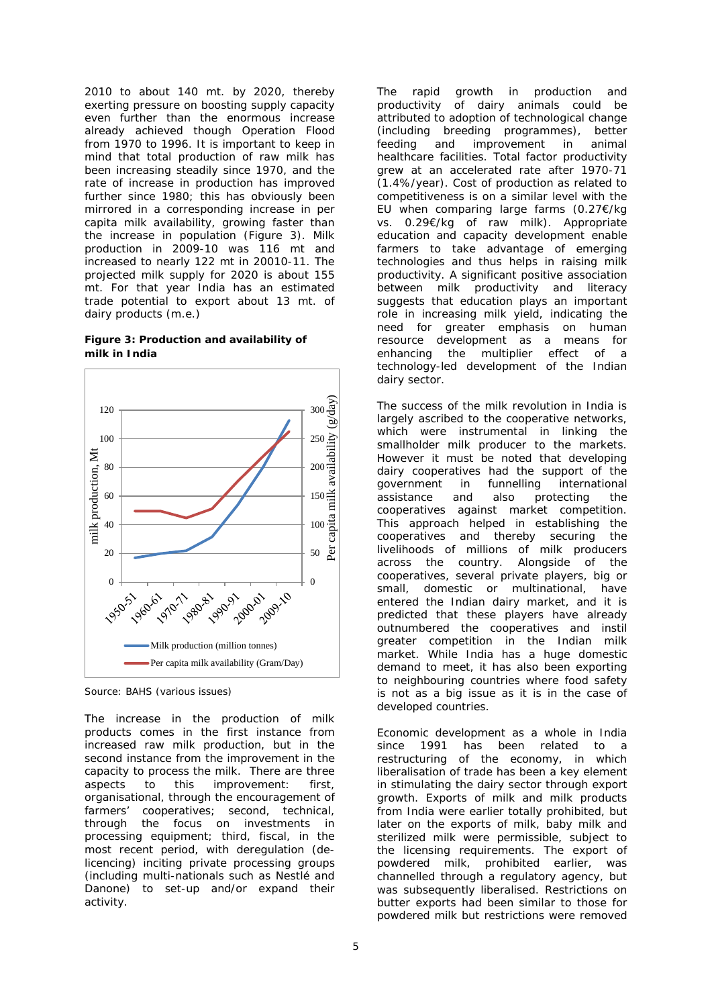2010 to about 140 mt. by 2020, thereby exerting pressure on boosting supply capacity even further than the enormous increase already achieved though Operation Flood from 1970 to 1996. It is important to keep in mind that total production of raw milk has been increasing steadily since 1970, and the rate of increase in production has improved further since 1980; this has obviously been mirrored in a corresponding increase in per capita milk availability, growing faster than the increase in population (Figure 3). Milk production in 2009-10 was 116 mt and increased to nearly 122 mt in 20010-11. The projected milk supply for 2020 is about 155 mt. For that year India has an estimated trade potential to export about 13 mt. of dairy products (m.e.)

#### **Figure 3: Production and availability of milk in India**



*Source:* BAHS (various issues)

The increase in the production of milk products comes in the first instance from increased raw milk production, but in the second instance from the improvement in the capacity to process the milk. There are three aspects to this improvement: first, organisational, through the encouragement of farmers' cooperatives; second, technical, through the focus on investments in processing equipment; third, fiscal, in the most recent period, with deregulation (delicencing) inciting private processing groups (including multi-nationals such as Nestlé and Danone) to set-up and/or expand their activity.

The rapid growth in production and productivity of dairy animals could be attributed to adoption of technological change (including breeding programmes), better feeding and improvement in animal healthcare facilities. Total factor productivity grew at an accelerated rate after 1970-71 (1.4%/year). Cost of production as related to competitiveness is on a similar level with the EU when comparing large farms (0.27€/kg vs. 0.29€/kg of raw milk). Appropriate education and capacity development enable farmers to take advantage of emerging technologies and thus helps in raising milk productivity. A significant positive association between milk productivity and literacy suggests that education plays an important role in increasing milk yield, indicating the need for greater emphasis on human resource development as a means for enhancing the multiplier effect of a technology-led development of the Indian dairy sector.

The success of the milk revolution in India is largely ascribed to the cooperative networks, which were instrumental in linking the smallholder milk producer to the markets. However it must be noted that developing dairy cooperatives had the support of the government in funnelling international government in funnelling international assistance and also protecting the cooperatives against market competition. This approach helped in establishing the cooperatives and thereby securing the livelihoods of millions of milk producers across the country. Alongside of the cooperatives, several private players, big or small, domestic or multinational, have entered the Indian dairy market, and it is predicted that these players have already outnumbered the cooperatives and instil greater competition in the Indian milk market. While India has a huge domestic demand to meet, it has also been exporting to neighbouring countries where food safety is not as a big issue as it is in the case of developed countries.

Economic development as a whole in India since 1991 has been related to a restructuring of the economy, in which liberalisation of trade has been a key element in stimulating the dairy sector through export growth. Exports of milk and milk products from India were earlier totally prohibited, but later on the exports of milk, baby milk and sterilized milk were permissible, subject to the licensing requirements. The export of powdered milk, prohibited earlier, was channelled through a regulatory agency, but was subsequently liberalised. Restrictions on butter exports had been similar to those for powdered milk but restrictions were removed